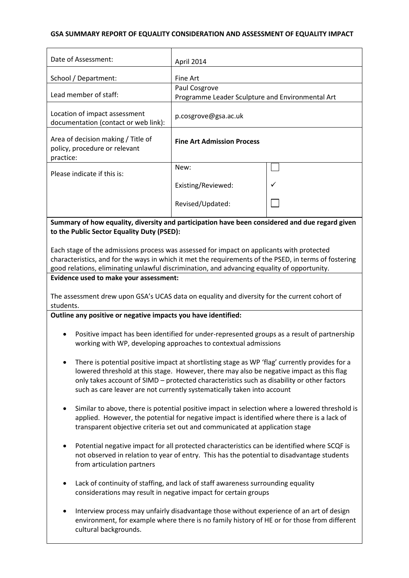## **GSA SUMMARY REPORT OF EQUALITY CONSIDERATION AND ASSESSMENT OF EQUALITY IMPACT**

| Date of Assessment:                                                              | April 2014                                                        |              |
|----------------------------------------------------------------------------------|-------------------------------------------------------------------|--------------|
| School / Department:                                                             | Fine Art                                                          |              |
| Lead member of staff:                                                            | Paul Cosgrove<br>Programme Leader Sculpture and Environmental Art |              |
| Location of impact assessment<br>documentation (contact or web link):            | p.cosgrove@gsa.ac.uk                                              |              |
| Area of decision making / Title of<br>policy, procedure or relevant<br>practice: | <b>Fine Art Admission Process</b>                                 |              |
| Please indicate if this is:                                                      | New:                                                              |              |
|                                                                                  | Existing/Reviewed:                                                | $\checkmark$ |
|                                                                                  | Revised/Updated:                                                  |              |

**Summary of how equality, diversity and participation have been considered and due regard given to the Public Sector Equality Duty (PSED):**

Each stage of the admissions process was assessed for impact on applicants with protected characteristics, and for the ways in which it met the requirements of the PSED, in terms of fostering good relations, eliminating unlawful discrimination, and advancing equality of opportunity.

### **Evidence used to make your assessment:**

The assessment drew upon GSA's UCAS data on equality and diversity for the current cohort of students.

**Outline any positive or negative impacts you have identified:**

- Positive impact has been identified for under-represented groups as a result of partnership working with WP, developing approaches to contextual admissions
- There is potential positive impact at shortlisting stage as WP 'flag' currently provides for a lowered threshold at this stage. However, there may also be negative impact as this flag only takes account of SIMD – protected characteristics such as disability or other factors such as care leaver are not currently systematically taken into account
- Similar to above, there is potential positive impact in selection where a lowered threshold is applied. However, the potential for negative impact is identified where there is a lack of transparent objective criteria set out and communicated at application stage
- Potential negative impact for all protected characteristics can be identified where SCQF is not observed in relation to year of entry. This has the potential to disadvantage students from articulation partners
- Lack of continuity of staffing, and lack of staff awareness surrounding equality considerations may result in negative impact for certain groups
- Interview process may unfairly disadvantage those without experience of an art of design environment, for example where there is no family history of HE or for those from different cultural backgrounds.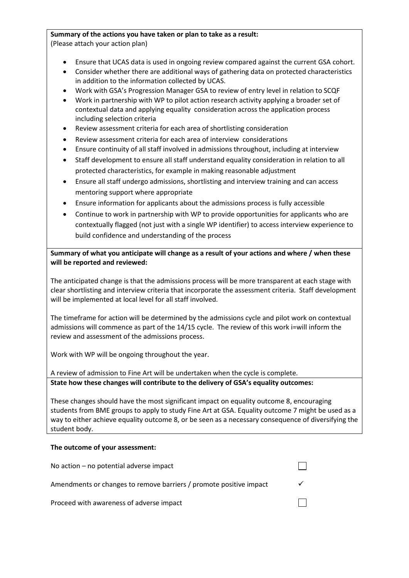# **Summary of the actions you have taken or plan to take as a result:**

(Please attach your action plan)

- Ensure that UCAS data is used in ongoing review compared against the current GSA cohort.
- Consider whether there are additional ways of gathering data on protected characteristics in addition to the information collected by UCAS.
- Work with GSA's Progression Manager GSA to review of entry level in relation to SCQF
- Work in partnership with WP to pilot action research activity applying a broader set of contextual data and applying equality consideration across the application process including selection criteria
- Review assessment criteria for each area of shortlisting consideration
- Review assessment criteria for each area of interview considerations
- Ensure continuity of all staff involved in admissions throughout, including at interview
- Staff development to ensure all staff understand equality consideration in relation to all protected characteristics, for example in making reasonable adjustment
- Ensure all staff undergo admissions, shortlisting and interview training and can access mentoring support where appropriate
- Ensure information for applicants about the admissions process is fully accessible
- Continue to work in partnership with WP to provide opportunities for applicants who are contextually flagged (not just with a single WP identifier) to access interview experience to build confidence and understanding of the process

**Summary of what you anticipate will change as a result of your actions and where / when these will be reported and reviewed:**

The anticipated change is that the admissions process will be more transparent at each stage with clear shortlisting and interview criteria that incorporate the assessment criteria. Staff development will be implemented at local level for all staff involved.

The timeframe for action will be determined by the admissions cycle and pilot work on contextual admissions will commence as part of the 14/15 cycle. The review of this work i=will inform the review and assessment of the admissions process.

Work with WP will be ongoing throughout the year.

A review of admission to Fine Art will be undertaken when the cycle is complete.

**State how these changes will contribute to the delivery of GSA's equality outcomes:**

These changes should have the most significant impact on equality outcome 8, encouraging students from BME groups to apply to study Fine Art at GSA. Equality outcome 7 might be used as a way to either achieve equality outcome 8, or be seen as a necessary consequence of diversifying the student body.

# **The outcome of your assessment:**

| No action $-$ no potential adverse impact                          |  |
|--------------------------------------------------------------------|--|
| Amendments or changes to remove barriers / promote positive impact |  |
| Proceed with awareness of adverse impact                           |  |